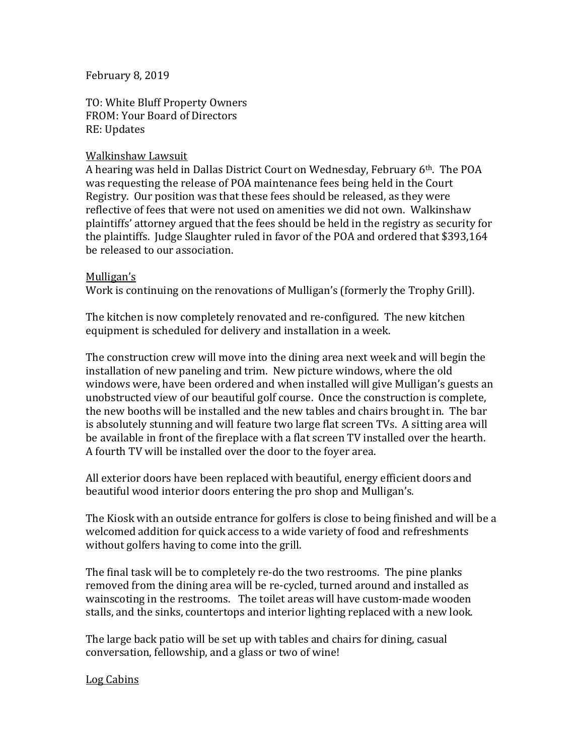February 8, 2019

TO: White Bluff Property Owners FROM: Your Board of Directors RE: Updates

# Walkinshaw Lawsuit

A hearing was held in Dallas District Court on Wednesday, February 6th. The POA was requesting the release of POA maintenance fees being held in the Court Registry. Our position was that these fees should be released, as they were reflective of fees that were not used on amenities we did not own. Walkinshaw plaintiffs' attorney argued that the fees should be held in the registry as security for the plaintiffs. Judge Slaughter ruled in favor of the POA and ordered that \$393,164 be released to our association.

### Mulligan's

Work is continuing on the renovations of Mulligan's (formerly the Trophy Grill).

The kitchen is now completely renovated and re-configured. The new kitchen equipment is scheduled for delivery and installation in a week.

The construction crew will move into the dining area next week and will begin the installation of new paneling and trim. New picture windows, where the old windows were, have been ordered and when installed will give Mulligan's guests an unobstructed view of our beautiful golf course. Once the construction is complete, the new booths will be installed and the new tables and chairs brought in. The bar is absolutely stunning and will feature two large flat screen TVs. A sitting area will be available in front of the fireplace with a flat screen TV installed over the hearth. A fourth TV will be installed over the door to the foyer area.

All exterior doors have been replaced with beautiful, energy efficient doors and beautiful wood interior doors entering the pro shop and Mulligan's.

The Kiosk with an outside entrance for golfers is close to being finished and will be a welcomed addition for quick access to a wide variety of food and refreshments without golfers having to come into the grill.

The final task will be to completely re-do the two restrooms. The pine planks removed from the dining area will be re-cycled, turned around and installed as wainscoting in the restrooms. The toilet areas will have custom-made wooden stalls, and the sinks, countertops and interior lighting replaced with a new look.

The large back patio will be set up with tables and chairs for dining, casual conversation, fellowship, and a glass or two of wine!

### Log Cabins